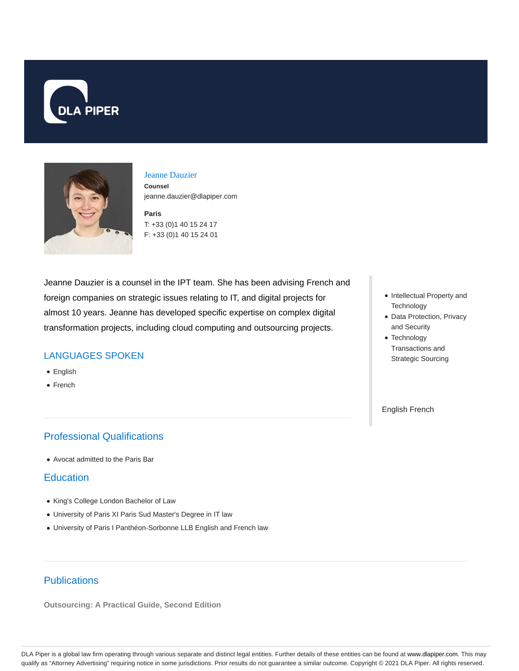



### Jeanne Dauzier

**Counsel** jeanne.dauzier@dlapiper.com

**Paris** T: +33 (0)1 40 15 24 17 F: +33 (0)1 40 15 24 01

Jeanne Dauzier is a counsel in the IPT team. She has been advising French and foreign companies on strategic issues relating to IT, and digital projects for almost 10 years. Jeanne has developed specific expertise on complex digital transformation projects, including cloud computing and outsourcing projects.

## LANGUAGES SPOKEN

- English
- French

# Professional Qualifications

Avocat admitted to the Paris Bar

### **Education**

- King's College London Bachelor of Law
- University of Paris XI Paris Sud Master's Degree in IT law
- University of Paris I Panthéon-Sorbonne LLB English and French law

#### • Intellectual Property and **Technology**

- Data Protection, Privacy and Security
- Technology Transactions and Strategic Sourcing

English French

## **Publications**

**Outsourcing: A Practical Guide, Second Edition**

DLA Piper is a global law firm operating through various separate and distinct legal entities. Further details of these entities can be found at www.dlapiper.com. This may qualify as "Attorney Advertising" requiring notice in some jurisdictions. Prior results do not guarantee a similar outcome. Copyright © 2021 DLA Piper. All rights reserved.